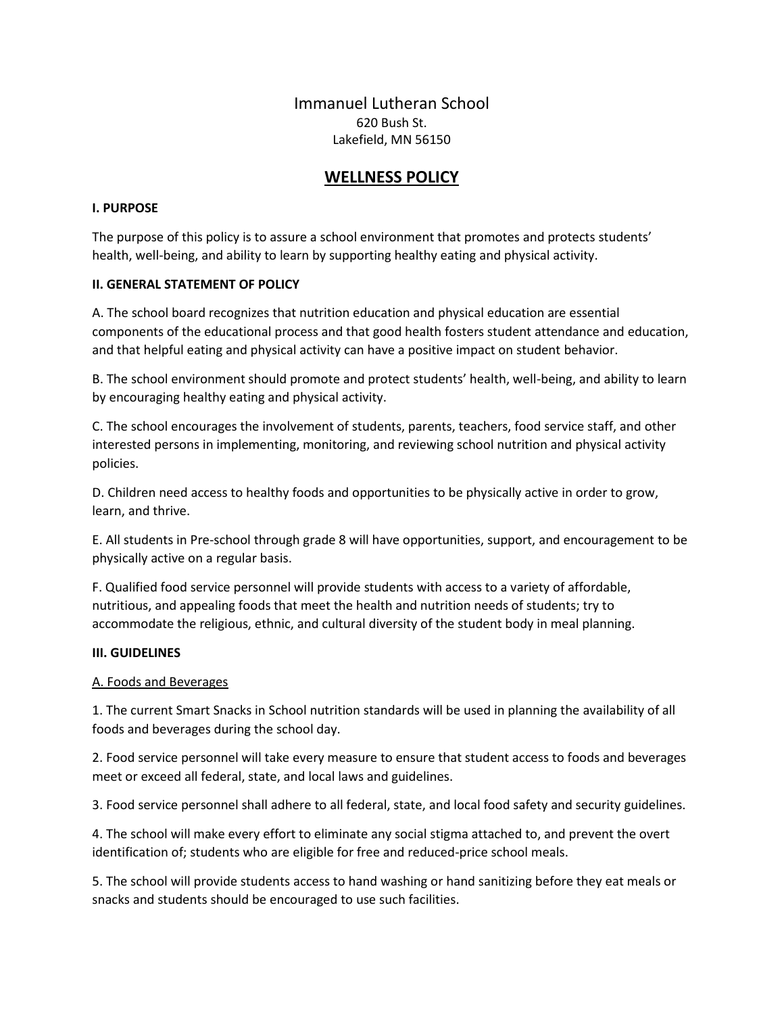# Immanuel Lutheran School 620 Bush St. Lakefield, MN 56150

# **WELLNESS POLICY**

## **I. PURPOSE**

The purpose of this policy is to assure a school environment that promotes and protects students' health, well-being, and ability to learn by supporting healthy eating and physical activity.

## **II. GENERAL STATEMENT OF POLICY**

A. The school board recognizes that nutrition education and physical education are essential components of the educational process and that good health fosters student attendance and education, and that helpful eating and physical activity can have a positive impact on student behavior.

B. The school environment should promote and protect students' health, well-being, and ability to learn by encouraging healthy eating and physical activity.

C. The school encourages the involvement of students, parents, teachers, food service staff, and other interested persons in implementing, monitoring, and reviewing school nutrition and physical activity policies.

D. Children need access to healthy foods and opportunities to be physically active in order to grow, learn, and thrive.

E. All students in Pre-school through grade 8 will have opportunities, support, and encouragement to be physically active on a regular basis.

F. Qualified food service personnel will provide students with access to a variety of affordable, nutritious, and appealing foods that meet the health and nutrition needs of students; try to accommodate the religious, ethnic, and cultural diversity of the student body in meal planning.

#### **III. GUIDELINES**

#### A. Foods and Beverages

1. The current Smart Snacks in School nutrition standards will be used in planning the availability of all foods and beverages during the school day.

2. Food service personnel will take every measure to ensure that student access to foods and beverages meet or exceed all federal, state, and local laws and guidelines.

3. Food service personnel shall adhere to all federal, state, and local food safety and security guidelines.

4. The school will make every effort to eliminate any social stigma attached to, and prevent the overt identification of; students who are eligible for free and reduced-price school meals.

5. The school will provide students access to hand washing or hand sanitizing before they eat meals or snacks and students should be encouraged to use such facilities.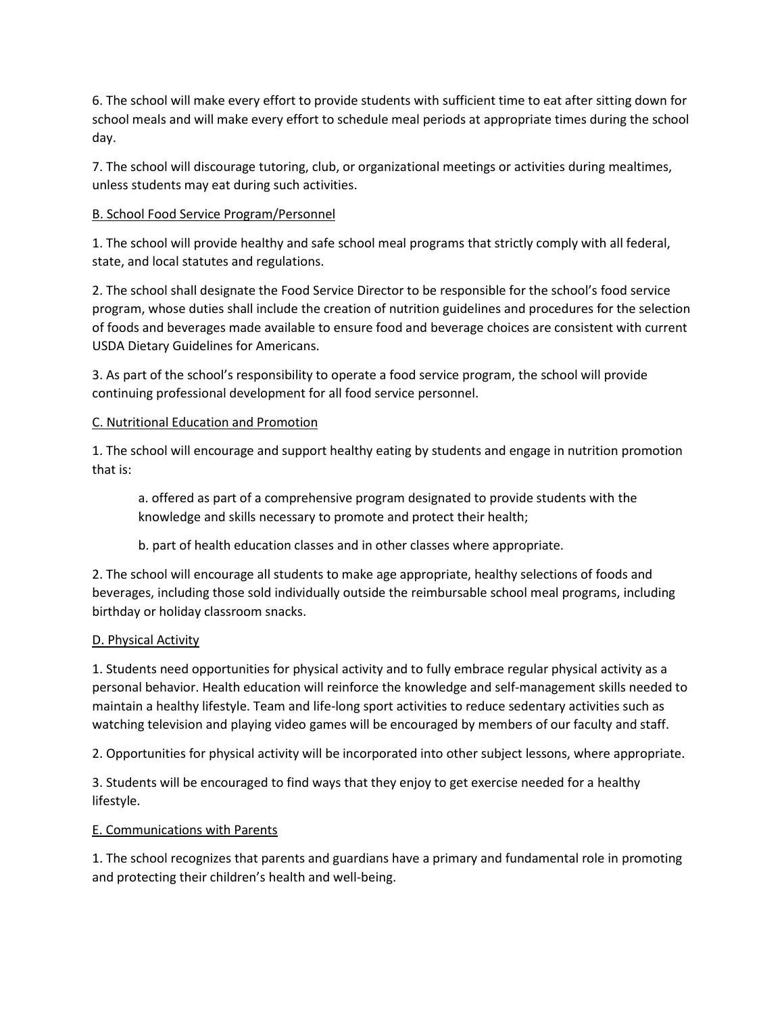6. The school will make every effort to provide students with sufficient time to eat after sitting down for school meals and will make every effort to schedule meal periods at appropriate times during the school day.

7. The school will discourage tutoring, club, or organizational meetings or activities during mealtimes, unless students may eat during such activities.

# B. School Food Service Program/Personnel

1. The school will provide healthy and safe school meal programs that strictly comply with all federal, state, and local statutes and regulations.

2. The school shall designate the Food Service Director to be responsible for the school's food service program, whose duties shall include the creation of nutrition guidelines and procedures for the selection of foods and beverages made available to ensure food and beverage choices are consistent with current USDA Dietary Guidelines for Americans.

3. As part of the school's responsibility to operate a food service program, the school will provide continuing professional development for all food service personnel.

## C. Nutritional Education and Promotion

1. The school will encourage and support healthy eating by students and engage in nutrition promotion that is:

a. offered as part of a comprehensive program designated to provide students with the knowledge and skills necessary to promote and protect their health;

b. part of health education classes and in other classes where appropriate.

2. The school will encourage all students to make age appropriate, healthy selections of foods and beverages, including those sold individually outside the reimbursable school meal programs, including birthday or holiday classroom snacks.

#### D. Physical Activity

1. Students need opportunities for physical activity and to fully embrace regular physical activity as a personal behavior. Health education will reinforce the knowledge and self-management skills needed to maintain a healthy lifestyle. Team and life-long sport activities to reduce sedentary activities such as watching television and playing video games will be encouraged by members of our faculty and staff.

2. Opportunities for physical activity will be incorporated into other subject lessons, where appropriate.

3. Students will be encouraged to find ways that they enjoy to get exercise needed for a healthy lifestyle.

# E. Communications with Parents

1. The school recognizes that parents and guardians have a primary and fundamental role in promoting and protecting their children's health and well-being.